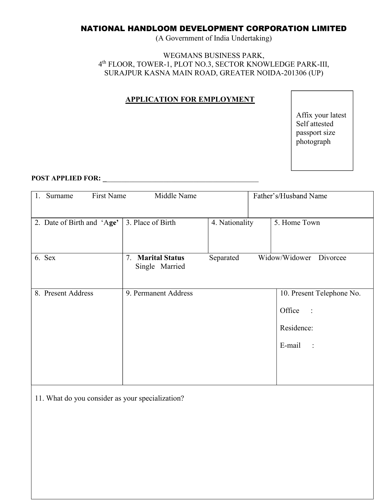# NATIONAL HANDLOOM DEVELOPMENT CORPORATION LIMITED

(A Government of India Undertaking)

#### WEGMANS BUSINESS PARK, 4 th FLOOR, TOWER-1, PLOT NO.3, SECTOR KNOWLEDGE PARK-III, SURAJPUR KASNA MAIN ROAD, GREATER NOIDA-201306 (UP)

# APPLICATION FOR EMPLOYMENT

Affix your latest Self attested passport size photograph

# POST APPLIED FOR: \_\_\_\_\_\_\_\_\_\_\_\_\_\_\_\_\_\_\_\_\_\_\_\_\_\_\_\_\_\_\_\_\_\_\_\_\_\_\_\_\_ 1. Surname First Name Middle Name

| First Name<br>Surname      | Middle Name                                   |                | Father's/Husband Name                                                                |
|----------------------------|-----------------------------------------------|----------------|--------------------------------------------------------------------------------------|
| 2. Date of Birth and 'Age' | 3. Place of Birth                             | 4. Nationality | 5. Home Town                                                                         |
| 6. Sex                     | <b>Marital Status</b><br>7.<br>Single Married | Separated      | Widow/Widower Divorcee                                                               |
| 8. Present Address         | 9. Permanent Address                          |                | 10. Present Telephone No.<br>Office<br>$\sim$ 1<br>Residence:<br>E-mail<br>$\sim$ 1. |

11. What do you consider as your specialization?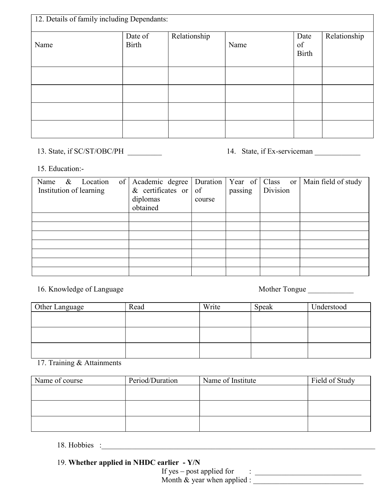| Name | Date of<br>Birth | Relationship | Name | Date<br>of<br><b>Birth</b> | Relationship |
|------|------------------|--------------|------|----------------------------|--------------|
|      |                  |              |      |                            |              |
|      |                  |              |      |                            |              |
|      |                  |              |      |                            |              |
|      |                  |              |      |                            |              |

#### 15. Education:-

| Name<br>& Location      | of   Academic degree   Duration |        |         | Year of $ $ Class or $ $ | Main field of study |
|-------------------------|---------------------------------|--------|---------|--------------------------|---------------------|
| Institution of learning | & certificates or $\sigma$      |        | passing | Division                 |                     |
|                         | diplomas                        | course |         |                          |                     |
|                         | obtained                        |        |         |                          |                     |
|                         |                                 |        |         |                          |                     |
|                         |                                 |        |         |                          |                     |
|                         |                                 |        |         |                          |                     |
|                         |                                 |        |         |                          |                     |
|                         |                                 |        |         |                          |                     |
|                         |                                 |        |         |                          |                     |
|                         |                                 |        |         |                          |                     |

# 16. Knowledge of Language and Mother Tongue Lease and Mother Angles Mother Tongue

| Other Language | Read | Write | Speak | Understood |
|----------------|------|-------|-------|------------|
|                |      |       |       |            |
|                |      |       |       |            |
|                |      |       |       |            |
|                |      |       |       |            |

#### 17. Training & Attainments

| Name of course | Period/Duration | Name of Institute | Field of Study |
|----------------|-----------------|-------------------|----------------|
|                |                 |                   |                |
|                |                 |                   |                |
|                |                 |                   |                |
|                |                 |                   |                |
|                |                 |                   |                |

18. Hobbies :

# 19. Whether applied in NHDC earlier - Y/N

If yes – post applied for  $\cdot$  : Month & year when applied :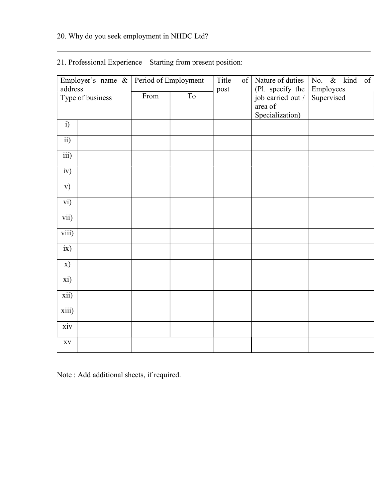# 20. Why do you seek employment in NHDC Ltd?

| Employer's name &           | Period of Employment |                | Title | Nature of duties<br>$\vert$ of $\vert$ | No. & kind<br>of        |
|-----------------------------|----------------------|----------------|-------|----------------------------------------|-------------------------|
| address<br>Type of business | From                 | T <sub>o</sub> | post  | (Pl. specify the<br>job carried out /  | Employees<br>Supervised |
|                             |                      |                |       | area of<br>Specialization)             |                         |
| $\overline{i}$              |                      |                |       |                                        |                         |
| $\overline{ii}$             |                      |                |       |                                        |                         |
| $\overline{iii}$            |                      |                |       |                                        |                         |
| $\overline{iv}$             |                      |                |       |                                        |                         |
| $\mathbf{v})$               |                      |                |       |                                        |                         |
| vi)                         |                      |                |       |                                        |                         |
| vii)                        |                      |                |       |                                        |                         |
| viii)                       |                      |                |       |                                        |                         |
| ix)                         |                      |                |       |                                        |                         |
| x)                          |                      |                |       |                                        |                         |
| xi)                         |                      |                |       |                                        |                         |
| xii)                        |                      |                |       |                                        |                         |
| $\overline{xiii}$           |                      |                |       |                                        |                         |
| xiv                         |                      |                |       |                                        |                         |
| $\mathbf{X}\mathbf{V}$      |                      |                |       |                                        |                         |
|                             |                      |                |       |                                        |                         |

# 21. Professional Experience - Starting from present position:

Note : Add additional sheets, if required.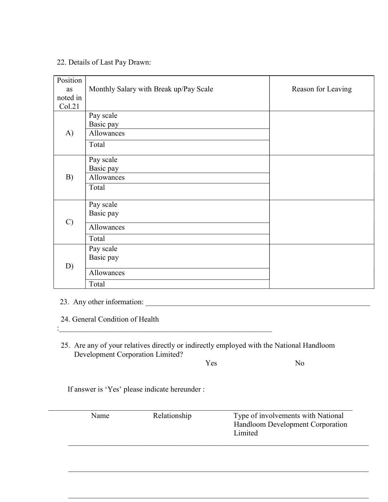#### 22. Details of Last Pay Drawn:

| Position      |                                        |                    |
|---------------|----------------------------------------|--------------------|
| as            | Monthly Salary with Break up/Pay Scale | Reason for Leaving |
| noted in      |                                        |                    |
| Col.21        |                                        |                    |
|               | Pay scale                              |                    |
|               | Basic pay                              |                    |
| A)            | Allowances                             |                    |
|               | Total                                  |                    |
|               | Pay scale                              |                    |
|               | Basic pay                              |                    |
| B)            | Allowances                             |                    |
|               | Total                                  |                    |
|               | Pay scale                              |                    |
|               | Basic pay                              |                    |
| $\mathcal{C}$ | Allowances                             |                    |
|               | Total                                  |                    |
|               | Pay scale                              |                    |
|               | Basic pay                              |                    |
| D)            | Allowances                             |                    |
|               | Total                                  |                    |
|               |                                        |                    |

23. Any other information: \_\_\_\_\_\_\_\_\_\_\_\_\_\_\_\_\_\_\_\_\_\_\_\_\_\_\_\_\_\_\_\_\_\_\_\_\_\_\_\_\_\_\_\_\_\_\_\_\_\_\_\_\_\_\_\_\_\_\_

24. General Condition of Health

: where the interaction of the contribution of the contribution of  $\mathcal{L}_\mathcal{M}$ 

 25. Are any of your relatives directly or indirectly employed with the National Handloom Development Corporation Limited?

Yes No

If answer is 'Yes' please indicate hereunder :

| Name | Relationship | Type of involvements with National<br>Handloom Development Corporation |
|------|--------------|------------------------------------------------------------------------|
|      |              | Limited                                                                |
|      |              |                                                                        |
|      |              |                                                                        |